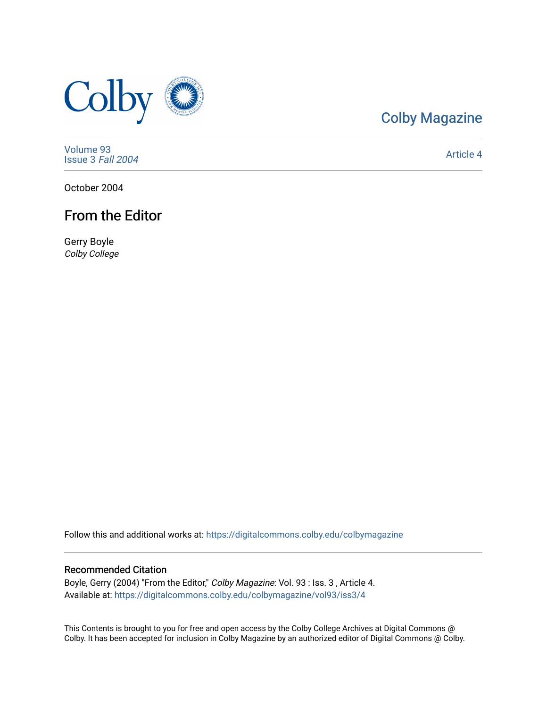

# [Colby Magazine](https://digitalcommons.colby.edu/colbymagazine)

[Volume 93](https://digitalcommons.colby.edu/colbymagazine/vol93) [Issue 3](https://digitalcommons.colby.edu/colbymagazine/vol93/iss3) Fall 2004

[Article 4](https://digitalcommons.colby.edu/colbymagazine/vol93/iss3/4) 

October 2004

# From the Editor

Gerry Boyle Colby College

Follow this and additional works at: [https://digitalcommons.colby.edu/colbymagazine](https://digitalcommons.colby.edu/colbymagazine?utm_source=digitalcommons.colby.edu%2Fcolbymagazine%2Fvol93%2Fiss3%2F4&utm_medium=PDF&utm_campaign=PDFCoverPages)

# Recommended Citation

Boyle, Gerry (2004) "From the Editor," Colby Magazine: Vol. 93 : Iss. 3, Article 4. Available at: [https://digitalcommons.colby.edu/colbymagazine/vol93/iss3/4](https://digitalcommons.colby.edu/colbymagazine/vol93/iss3/4?utm_source=digitalcommons.colby.edu%2Fcolbymagazine%2Fvol93%2Fiss3%2F4&utm_medium=PDF&utm_campaign=PDFCoverPages)

This Contents is brought to you for free and open access by the Colby College Archives at Digital Commons @ Colby. It has been accepted for inclusion in Colby Magazine by an authorized editor of Digital Commons @ Colby.